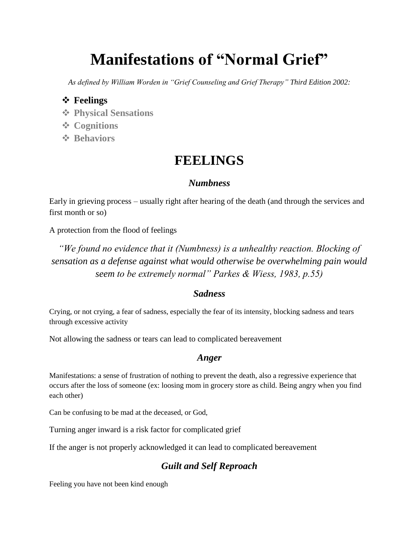# **Manifestations of "Normal Grief"**

*As defined by William Worden in "Grief Counseling and Grief Therapy" Third Edition 2002:*

# **Feelings**

- **Physical Sensations**
- **Cognitions**
- **❖ Behaviors**

# **FEELINGS**

## *Numbness*

Early in grieving process – usually right after hearing of the death (and through the services and first month or so)

A protection from the flood of feelings

*"We found no evidence that it (Numbness) is a unhealthy reaction. Blocking of sensation as a defense against what would otherwise be overwhelming pain would seem to be extremely normal" Parkes & Wiess, 1983, p.55)*

### *Sadness*

Crying, or not crying, a fear of sadness, especially the fear of its intensity, blocking sadness and tears through excessive activity

Not allowing the sadness or tears can lead to complicated bereavement

# *Anger*

Manifestations: a sense of frustration of nothing to prevent the death, also a regressive experience that occurs after the loss of someone (ex: loosing mom in grocery store as child. Being angry when you find each other)

Can be confusing to be mad at the deceased, or God,

Turning anger inward is a risk factor for complicated grief

If the anger is not properly acknowledged it can lead to complicated bereavement

# *Guilt and Self Reproach*

Feeling you have not been kind enough